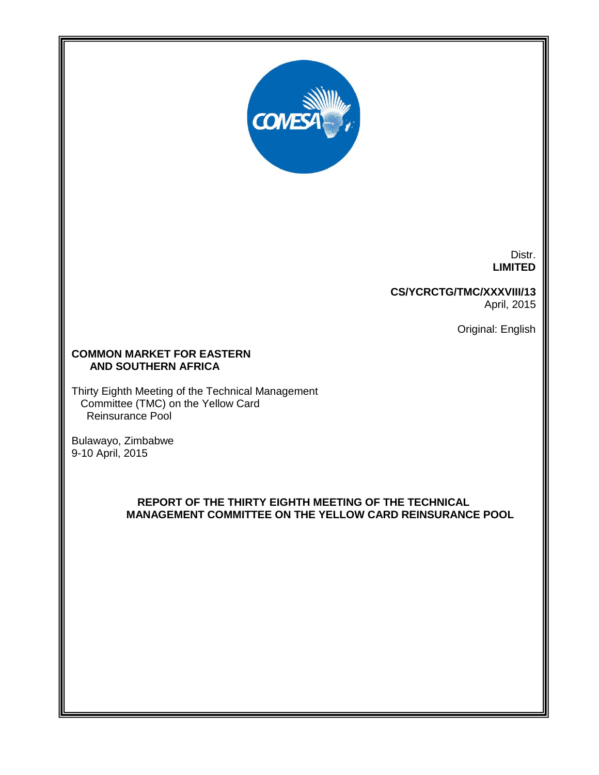

Distr. **LIMITED**

# **CS/YCRCTG/TMC/XXXVIII/13**

April, 2015

Original: English

## **COMMON MARKET FOR EASTERN AND SOUTHERN AFRICA**

Thirty Eighth Meeting of the Technical Management Committee (TMC) on the Yellow Card Reinsurance Pool

Bulawayo, Zimbabwe 9-10 April, 2015

*15-(BG/KC-rkk)*

## **REPORT OF THE THIRTY EIGHTH MEETING OF THE TECHNICAL MANAGEMENT COMMITTEE ON THE YELLOW CARD REINSURANCE POOL**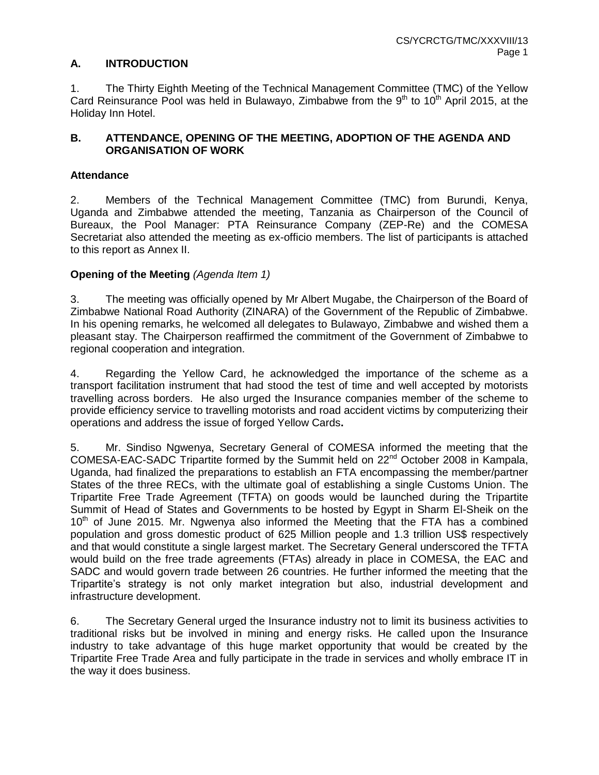## **A. INTRODUCTION**

1. The Thirty Eighth Meeting of the Technical Management Committee (TMC) of the Yellow Card Reinsurance Pool was held in Bulawayo, Zimbabwe from the  $9<sup>th</sup>$  to 10<sup>th</sup> April 2015, at the Holiday Inn Hotel.

## **B. ATTENDANCE, OPENING OF THE MEETING, ADOPTION OF THE AGENDA AND ORGANISATION OF WORK**

## **Attendance**

2. Members of the Technical Management Committee (TMC) from Burundi, Kenya, Uganda and Zimbabwe attended the meeting, Tanzania as Chairperson of the Council of Bureaux, the Pool Manager: PTA Reinsurance Company (ZEP-Re) and the COMESA Secretariat also attended the meeting as ex-officio members. The list of participants is attached to this report as Annex II.

# **Opening of the Meeting** *(Agenda Item 1)*

3. The meeting was officially opened by Mr Albert Mugabe, the Chairperson of the Board of Zimbabwe National Road Authority (ZINARA) of the Government of the Republic of Zimbabwe. In his opening remarks, he welcomed all delegates to Bulawayo, Zimbabwe and wished them a pleasant stay. The Chairperson reaffirmed the commitment of the Government of Zimbabwe to regional cooperation and integration.

4. Regarding the Yellow Card, he acknowledged the importance of the scheme as a transport facilitation instrument that had stood the test of time and well accepted by motorists travelling across borders. He also urged the Insurance companies member of the scheme to provide efficiency service to travelling motorists and road accident victims by computerizing their operations and address the issue of forged Yellow Cards**.** 

5. Mr. Sindiso Ngwenya, Secretary General of COMESA informed the meeting that the COMESA-EAC-SADC Tripartite formed by the Summit held on 22nd October 2008 in Kampala, Uganda, had finalized the preparations to establish an FTA encompassing the member/partner States of the three RECs, with the ultimate goal of establishing a single Customs Union. The Tripartite Free Trade Agreement (TFTA) on goods would be launched during the Tripartite Summit of Head of States and Governments to be hosted by Egypt in Sharm El-Sheik on the  $10<sup>th</sup>$  of June 2015. Mr. Ngwenya also informed the Meeting that the FTA has a combined population and gross domestic product of 625 Million people and 1.3 trillion US\$ respectively and that would constitute a single largest market. The Secretary General underscored the TFTA would build on the free trade agreements (FTAs) already in place in COMESA, the EAC and SADC and would govern trade between 26 countries. He further informed the meeting that the Tripartite's strategy is not only market integration but also, industrial development and infrastructure development.

6. The Secretary General urged the Insurance industry not to limit its business activities to traditional risks but be involved in mining and energy risks. He called upon the Insurance industry to take advantage of this huge market opportunity that would be created by the Tripartite Free Trade Area and fully participate in the trade in services and wholly embrace IT in the way it does business.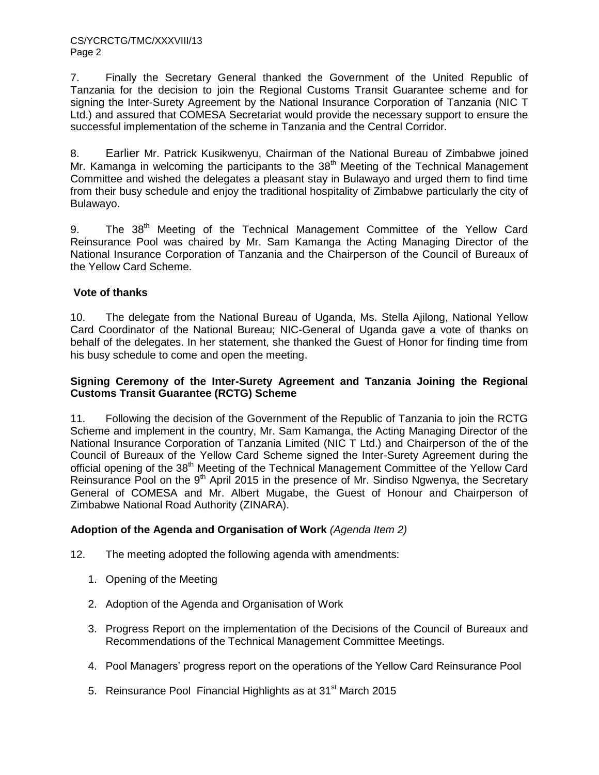7. Finally the Secretary General thanked the Government of the United Republic of Tanzania for the decision to join the Regional Customs Transit Guarantee scheme and for signing the Inter-Surety Agreement by the National Insurance Corporation of Tanzania (NIC T Ltd.) and assured that COMESA Secretariat would provide the necessary support to ensure the successful implementation of the scheme in Tanzania and the Central Corridor.

8. Earlier Mr. Patrick Kusikwenyu, Chairman of the National Bureau of Zimbabwe joined Mr. Kamanga in welcoming the participants to the  $38<sup>th</sup>$  Meeting of the Technical Management Committee and wished the delegates a pleasant stay in Bulawayo and urged them to find time from their busy schedule and enjoy the traditional hospitality of Zimbabwe particularly the city of Bulawayo.

9. The 38<sup>th</sup> Meeting of the Technical Management Committee of the Yellow Card Reinsurance Pool was chaired by Mr. Sam Kamanga the Acting Managing Director of the National Insurance Corporation of Tanzania and the Chairperson of the Council of Bureaux of the Yellow Card Scheme.

# **Vote of thanks**

10. The delegate from the National Bureau of Uganda, Ms. Stella Ajilong, National Yellow Card Coordinator of the National Bureau; NIC-General of Uganda gave a vote of thanks on behalf of the delegates. In her statement, she thanked the Guest of Honor for finding time from his busy schedule to come and open the meeting.

#### **Signing Ceremony of the Inter-Surety Agreement and Tanzania Joining the Regional Customs Transit Guarantee (RCTG) Scheme**

11. Following the decision of the Government of the Republic of Tanzania to join the RCTG Scheme and implement in the country, Mr. Sam Kamanga, the Acting Managing Director of the National Insurance Corporation of Tanzania Limited (NIC T Ltd.) and Chairperson of the of the Council of Bureaux of the Yellow Card Scheme signed the Inter-Surety Agreement during the official opening of the 38<sup>th</sup> Meeting of the Technical Management Committee of the Yellow Card Reinsurance Pool on the 9<sup>th</sup> April 2015 in the presence of Mr. Sindiso Ngwenya, the Secretary General of COMESA and Mr. Albert Mugabe, the Guest of Honour and Chairperson of Zimbabwe National Road Authority (ZINARA).

## **Adoption of the Agenda and Organisation of Work** *(Agenda Item 2)*

- 12. The meeting adopted the following agenda with amendments:
	- 1. Opening of the Meeting
	- 2. Adoption of the Agenda and Organisation of Work
	- 3. Progress Report on the implementation of the Decisions of the Council of Bureaux and Recommendations of the Technical Management Committee Meetings.
	- 4. Pool Managers' progress report on the operations of the Yellow Card Reinsurance Pool
	- 5. Reinsurance Pool Financial Highlights as at 31<sup>st</sup> March 2015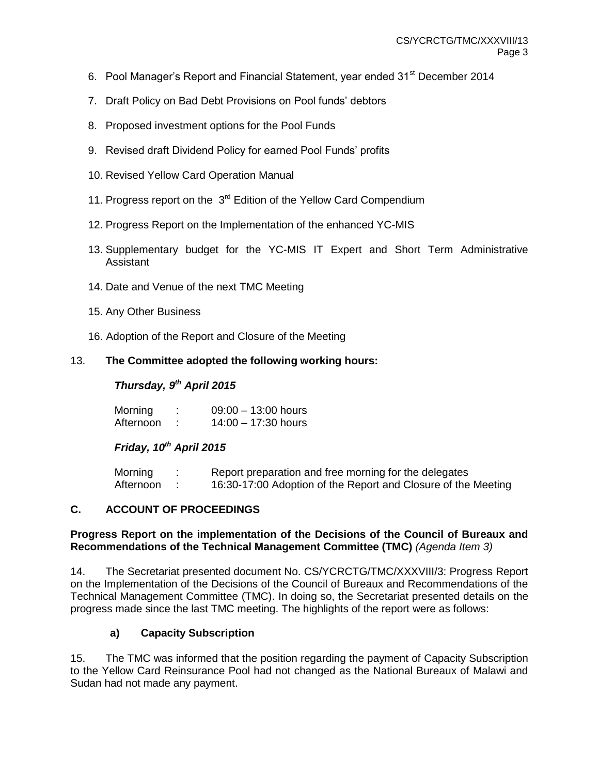- 6. Pool Manager's Report and Financial Statement, year ended 31<sup>st</sup> December 2014
- 7. Draft Policy on Bad Debt Provisions on Pool funds' debtors
- 8. Proposed investment options for the Pool Funds
- 9. Revised draft Dividend Policy for earned Pool Funds' profits
- 10. Revised Yellow Card Operation Manual
- 11. Progress report on the 3<sup>rd</sup> Edition of the Yellow Card Compendium
- 12. Progress Report on the Implementation of the enhanced YC-MIS
- 13. Supplementary budget for the YC-MIS IT Expert and Short Term Administrative Assistant
- 14. Date and Venue of the next TMC Meeting
- 15. Any Other Business
- 16. Adoption of the Report and Closure of the Meeting

## 13. **The Committee adopted the following working hours:**

## *Thursday, 9 th April 2015*

| Morning   | $09:00 - 13:00$ hours |
|-----------|-----------------------|
| Afternoon | $14:00 - 17:30$ hours |

# *Friday, 10th April 2015*

| Morning   | Report preparation and free morning for the delegates         |
|-----------|---------------------------------------------------------------|
| Afternoon | 16:30-17:00 Adoption of the Report and Closure of the Meeting |

## **C. ACCOUNT OF PROCEEDINGS**

#### **Progress Report on the implementation of the Decisions of the Council of Bureaux and Recommendations of the Technical Management Committee (TMC)** *(Agenda Item 3)*

14. The Secretariat presented document No. CS/YCRCTG/TMC/XXXVIII/3: Progress Report on the Implementation of the Decisions of the Council of Bureaux and Recommendations of the Technical Management Committee (TMC). In doing so, the Secretariat presented details on the progress made since the last TMC meeting. The highlights of the report were as follows:

## **a) Capacity Subscription**

15. The TMC was informed that the position regarding the payment of Capacity Subscription to the Yellow Card Reinsurance Pool had not changed as the National Bureaux of Malawi and Sudan had not made any payment.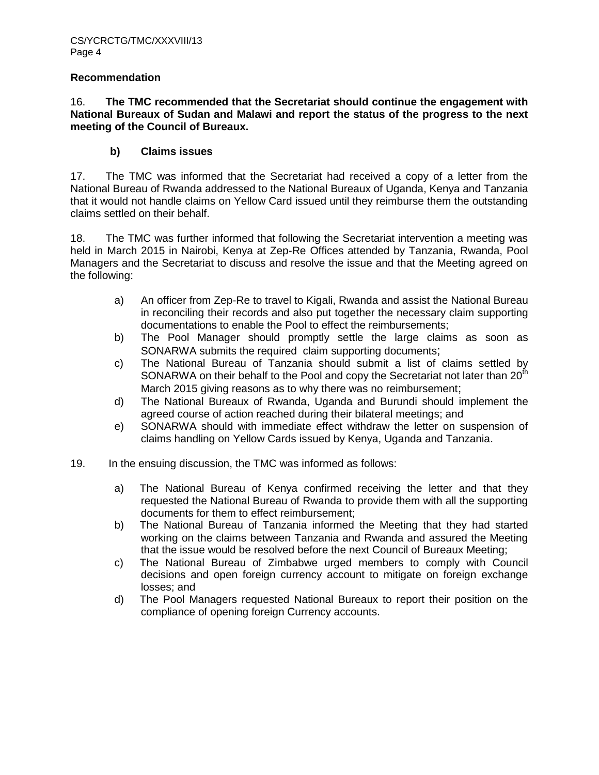#### **Recommendation**

#### 16. **The TMC recommended that the Secretariat should continue the engagement with National Bureaux of Sudan and Malawi and report the status of the progress to the next meeting of the Council of Bureaux.**

## **b) Claims issues**

17. The TMC was informed that the Secretariat had received a copy of a letter from the National Bureau of Rwanda addressed to the National Bureaux of Uganda, Kenya and Tanzania that it would not handle claims on Yellow Card issued until they reimburse them the outstanding claims settled on their behalf.

18. The TMC was further informed that following the Secretariat intervention a meeting was held in March 2015 in Nairobi, Kenya at Zep-Re Offices attended by Tanzania, Rwanda, Pool Managers and the Secretariat to discuss and resolve the issue and that the Meeting agreed on the following:

- a) An officer from Zep-Re to travel to Kigali, Rwanda and assist the National Bureau in reconciling their records and also put together the necessary claim supporting documentations to enable the Pool to effect the reimbursements;
- b) The Pool Manager should promptly settle the large claims as soon as SONARWA submits the required claim supporting documents;
- c) The National Bureau of Tanzania should submit a list of claims settled by SONARWA on their behalf to the Pool and copy the Secretariat not later than 20<sup>th</sup> March 2015 giving reasons as to why there was no reimbursement:
- d) The National Bureaux of Rwanda, Uganda and Burundi should implement the agreed course of action reached during their bilateral meetings; and
- e) SONARWA should with immediate effect withdraw the letter on suspension of claims handling on Yellow Cards issued by Kenya, Uganda and Tanzania.
- 19. In the ensuing discussion, the TMC was informed as follows:
	- a) The National Bureau of Kenya confirmed receiving the letter and that they requested the National Bureau of Rwanda to provide them with all the supporting documents for them to effect reimbursement;
	- b) The National Bureau of Tanzania informed the Meeting that they had started working on the claims between Tanzania and Rwanda and assured the Meeting that the issue would be resolved before the next Council of Bureaux Meeting;
	- c) The National Bureau of Zimbabwe urged members to comply with Council decisions and open foreign currency account to mitigate on foreign exchange losses; and
	- d) The Pool Managers requested National Bureaux to report their position on the compliance of opening foreign Currency accounts.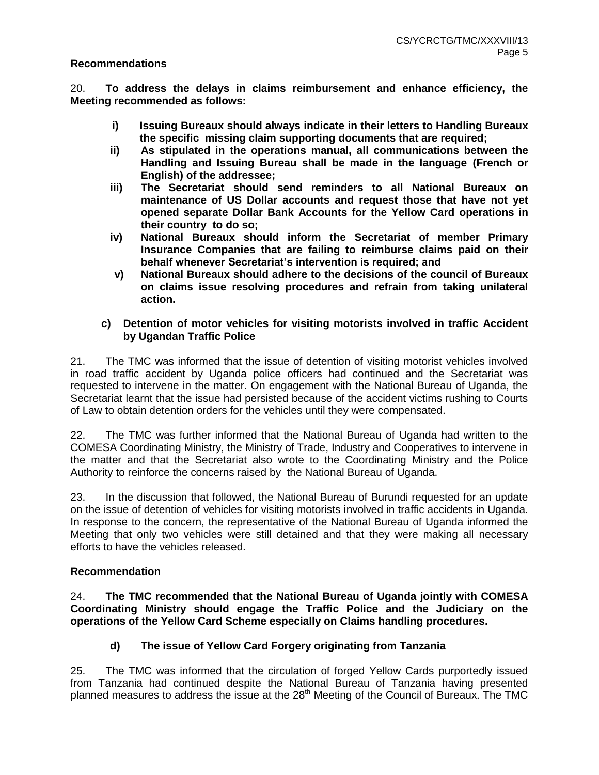#### **Recommendations**

20. **To address the delays in claims reimbursement and enhance efficiency, the Meeting recommended as follows:**

- **i) Issuing Bureaux should always indicate in their letters to Handling Bureaux the specific missing claim supporting documents that are required;**
- **ii) As stipulated in the operations manual, all communications between the Handling and Issuing Bureau shall be made in the language (French or English) of the addressee;**
- **iii) The Secretariat should send reminders to all National Bureaux on maintenance of US Dollar accounts and request those that have not yet opened separate Dollar Bank Accounts for the Yellow Card operations in their country to do so;**
- **iv) National Bureaux should inform the Secretariat of member Primary Insurance Companies that are failing to reimburse claims paid on their behalf whenever Secretariat's intervention is required; and**
- **v) National Bureaux should adhere to the decisions of the council of Bureaux on claims issue resolving procedures and refrain from taking unilateral action.**

### **c) Detention of motor vehicles for visiting motorists involved in traffic Accident by Ugandan Traffic Police**

21. The TMC was informed that the issue of detention of visiting motorist vehicles involved in road traffic accident by Uganda police officers had continued and the Secretariat was requested to intervene in the matter. On engagement with the National Bureau of Uganda, the Secretariat learnt that the issue had persisted because of the accident victims rushing to Courts of Law to obtain detention orders for the vehicles until they were compensated.

22. The TMC was further informed that the National Bureau of Uganda had written to the COMESA Coordinating Ministry, the Ministry of Trade, Industry and Cooperatives to intervene in the matter and that the Secretariat also wrote to the Coordinating Ministry and the Police Authority to reinforce the concerns raised by the National Bureau of Uganda.

23. In the discussion that followed, the National Bureau of Burundi requested for an update on the issue of detention of vehicles for visiting motorists involved in traffic accidents in Uganda. In response to the concern, the representative of the National Bureau of Uganda informed the Meeting that only two vehicles were still detained and that they were making all necessary efforts to have the vehicles released.

#### **Recommendation**

24. **The TMC recommended that the National Bureau of Uganda jointly with COMESA Coordinating Ministry should engage the Traffic Police and the Judiciary on the operations of the Yellow Card Scheme especially on Claims handling procedures.** 

## **d) The issue of Yellow Card Forgery originating from Tanzania**

25. The TMC was informed that the circulation of forged Yellow Cards purportedly issued from Tanzania had continued despite the National Bureau of Tanzania having presented planned measures to address the issue at the 28<sup>th</sup> Meeting of the Council of Bureaux. The TMC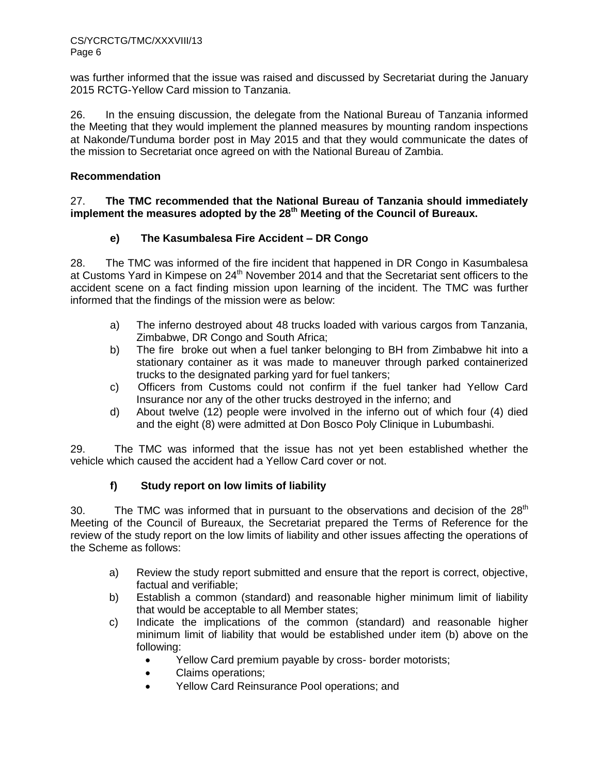was further informed that the issue was raised and discussed by Secretariat during the January 2015 RCTG-Yellow Card mission to Tanzania.

26. In the ensuing discussion, the delegate from the National Bureau of Tanzania informed the Meeting that they would implement the planned measures by mounting random inspections at Nakonde/Tunduma border post in May 2015 and that they would communicate the dates of the mission to Secretariat once agreed on with the National Bureau of Zambia.

## **Recommendation**

### 27. **The TMC recommended that the National Bureau of Tanzania should immediately implement the measures adopted by the 28th Meeting of the Council of Bureaux.**

# **e) The Kasumbalesa Fire Accident – DR Congo**

28. The TMC was informed of the fire incident that happened in DR Congo in Kasumbalesa at Customs Yard in Kimpese on 24<sup>th</sup> November 2014 and that the Secretariat sent officers to the accident scene on a fact finding mission upon learning of the incident. The TMC was further informed that the findings of the mission were as below:

- a) The inferno destroyed about 48 trucks loaded with various cargos from Tanzania, Zimbabwe, DR Congo and South Africa;
- b) The fire broke out when a fuel tanker belonging to BH from Zimbabwe hit into a stationary container as it was made to maneuver through parked containerized trucks to the designated parking yard for fuel tankers;
- c) Officers from Customs could not confirm if the fuel tanker had Yellow Card Insurance nor any of the other trucks destroyed in the inferno; and
- d) About twelve (12) people were involved in the inferno out of which four (4) died and the eight (8) were admitted at Don Bosco Poly Clinique in Lubumbashi.

29. The TMC was informed that the issue has not yet been established whether the vehicle which caused the accident had a Yellow Card cover or not.

## **f) Study report on low limits of liability**

30. The TMC was informed that in pursuant to the observations and decision of the  $28<sup>th</sup>$ Meeting of the Council of Bureaux, the Secretariat prepared the Terms of Reference for the review of the study report on the low limits of liability and other issues affecting the operations of the Scheme as follows:

- a) Review the study report submitted and ensure that the report is correct, objective, factual and verifiable;
- b) Establish a common (standard) and reasonable higher minimum limit of liability that would be acceptable to all Member states;
- c) Indicate the implications of the common (standard) and reasonable higher minimum limit of liability that would be established under item (b) above on the following:
	- Yellow Card premium payable by cross- border motorists;
	- Claims operations;
	- Yellow Card Reinsurance Pool operations; and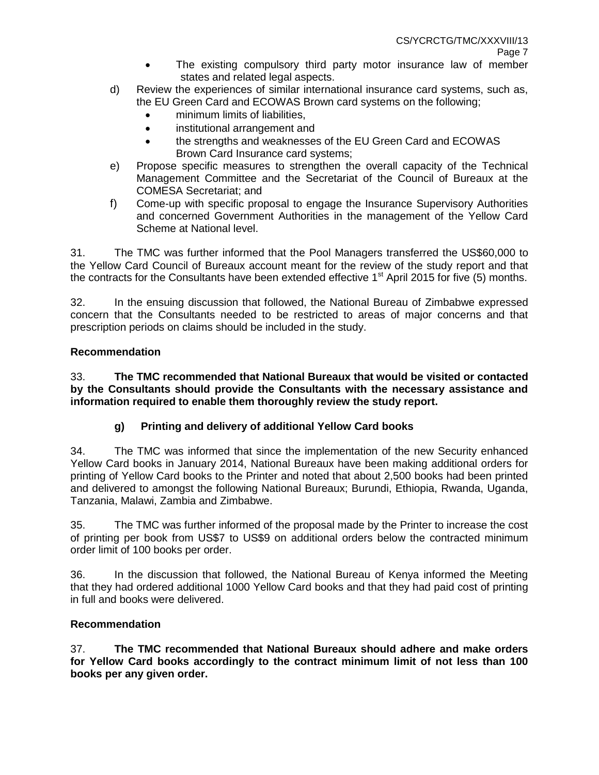- The existing compulsory third party motor insurance law of member states and related legal aspects.
- d) Review the experiences of similar international insurance card systems, such as, the EU Green Card and ECOWAS Brown card systems on the following;
	- minimum limits of liabilities,
	- institutional arrangement and
	- the strengths and weaknesses of the EU Green Card and ECOWAS Brown Card Insurance card systems;
- e) Propose specific measures to strengthen the overall capacity of the Technical Management Committee and the Secretariat of the Council of Bureaux at the COMESA Secretariat; and
- f) Come-up with specific proposal to engage the Insurance Supervisory Authorities and concerned Government Authorities in the management of the Yellow Card Scheme at National level.

31. The TMC was further informed that the Pool Managers transferred the US\$60,000 to the Yellow Card Council of Bureaux account meant for the review of the study report and that the contracts for the Consultants have been extended effective  $1<sup>st</sup>$  April 2015 for five (5) months.

32. In the ensuing discussion that followed, the National Bureau of Zimbabwe expressed concern that the Consultants needed to be restricted to areas of major concerns and that prescription periods on claims should be included in the study.

# **Recommendation**

33. **The TMC recommended that National Bureaux that would be visited or contacted by the Consultants should provide the Consultants with the necessary assistance and information required to enable them thoroughly review the study report.**

# **g) Printing and delivery of additional Yellow Card books**

34. The TMC was informed that since the implementation of the new Security enhanced Yellow Card books in January 2014, National Bureaux have been making additional orders for printing of Yellow Card books to the Printer and noted that about 2,500 books had been printed and delivered to amongst the following National Bureaux; Burundi, Ethiopia, Rwanda, Uganda, Tanzania, Malawi, Zambia and Zimbabwe.

35. The TMC was further informed of the proposal made by the Printer to increase the cost of printing per book from US\$7 to US\$9 on additional orders below the contracted minimum order limit of 100 books per order.

36. In the discussion that followed, the National Bureau of Kenya informed the Meeting that they had ordered additional 1000 Yellow Card books and that they had paid cost of printing in full and books were delivered.

## **Recommendation**

37. **The TMC recommended that National Bureaux should adhere and make orders for Yellow Card books accordingly to the contract minimum limit of not less than 100 books per any given order.**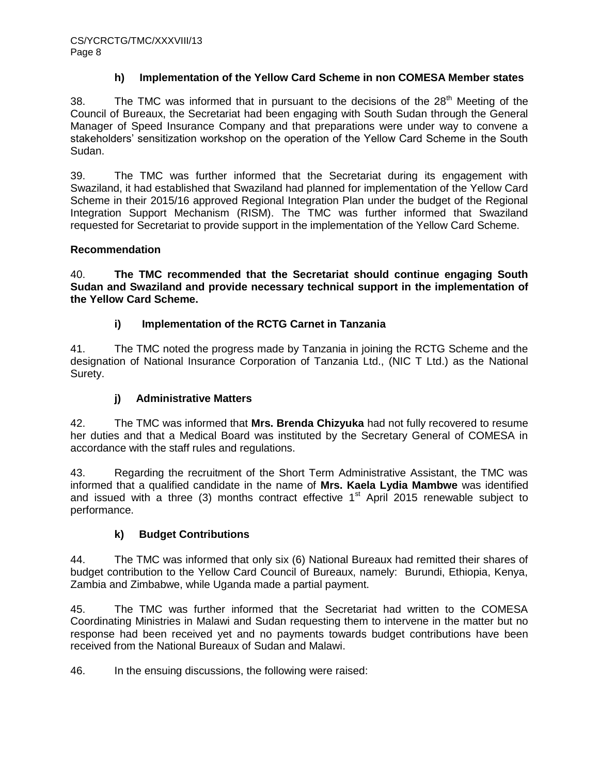### **h) Implementation of the Yellow Card Scheme in non COMESA Member states**

38. The TMC was informed that in pursuant to the decisions of the  $28<sup>th</sup>$  Meeting of the Council of Bureaux, the Secretariat had been engaging with South Sudan through the General Manager of Speed Insurance Company and that preparations were under way to convene a stakeholders' sensitization workshop on the operation of the Yellow Card Scheme in the South Sudan.

39. The TMC was further informed that the Secretariat during its engagement with Swaziland, it had established that Swaziland had planned for implementation of the Yellow Card Scheme in their 2015/16 approved Regional Integration Plan under the budget of the Regional Integration Support Mechanism (RISM). The TMC was further informed that Swaziland requested for Secretariat to provide support in the implementation of the Yellow Card Scheme.

## **Recommendation**

40. **The TMC recommended that the Secretariat should continue engaging South Sudan and Swaziland and provide necessary technical support in the implementation of the Yellow Card Scheme.**

## **i) Implementation of the RCTG Carnet in Tanzania**

41. The TMC noted the progress made by Tanzania in joining the RCTG Scheme and the designation of National Insurance Corporation of Tanzania Ltd., (NIC T Ltd.) as the National Surety.

## **j) Administrative Matters**

42. The TMC was informed that **Mrs. Brenda Chizyuka** had not fully recovered to resume her duties and that a Medical Board was instituted by the Secretary General of COMESA in accordance with the staff rules and regulations.

43. Regarding the recruitment of the Short Term Administrative Assistant, the TMC was informed that a qualified candidate in the name of **Mrs. Kaela Lydia Mambwe** was identified and issued with a three (3) months contract effective  $1<sup>st</sup>$  April 2015 renewable subject to performance.

## **k) Budget Contributions**

44. The TMC was informed that only six (6) National Bureaux had remitted their shares of budget contribution to the Yellow Card Council of Bureaux, namely: Burundi, Ethiopia, Kenya, Zambia and Zimbabwe, while Uganda made a partial payment.

45. The TMC was further informed that the Secretariat had written to the COMESA Coordinating Ministries in Malawi and Sudan requesting them to intervene in the matter but no response had been received yet and no payments towards budget contributions have been received from the National Bureaux of Sudan and Malawi.

46. In the ensuing discussions, the following were raised: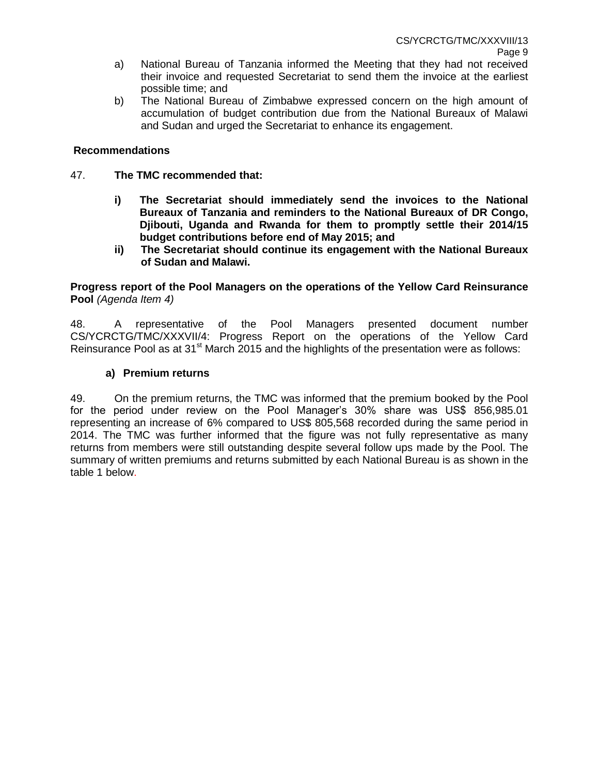- a) National Bureau of Tanzania informed the Meeting that they had not received their invoice and requested Secretariat to send them the invoice at the earliest possible time; and
- b) The National Bureau of Zimbabwe expressed concern on the high amount of accumulation of budget contribution due from the National Bureaux of Malawi and Sudan and urged the Secretariat to enhance its engagement.

### **Recommendations**

- 47. **The TMC recommended that:**
	- **i) The Secretariat should immediately send the invoices to the National Bureaux of Tanzania and reminders to the National Bureaux of DR Congo, Djibouti, Uganda and Rwanda for them to promptly settle their 2014/15 budget contributions before end of May 2015; and**
	- **ii) The Secretariat should continue its engagement with the National Bureaux of Sudan and Malawi.**

#### **Progress report of the Pool Managers on the operations of the Yellow Card Reinsurance Pool** *(Agenda Item 4)*

48. A representative of the Pool Managers presented document number CS/YCRCTG/TMC/XXXVII/4: Progress Report on the operations of the Yellow Card Reinsurance Pool as at  $31<sup>st</sup>$  March 2015 and the highlights of the presentation were as follows:

#### **a) Premium returns**

49. On the premium returns, the TMC was informed that the premium booked by the Pool for the period under review on the Pool Manager's 30% share was US\$ 856,985.01 representing an increase of 6% compared to US\$ 805,568 recorded during the same period in 2014. The TMC was further informed that the figure was not fully representative as many returns from members were still outstanding despite several follow ups made by the Pool. The summary of written premiums and returns submitted by each National Bureau is as shown in the table 1 below.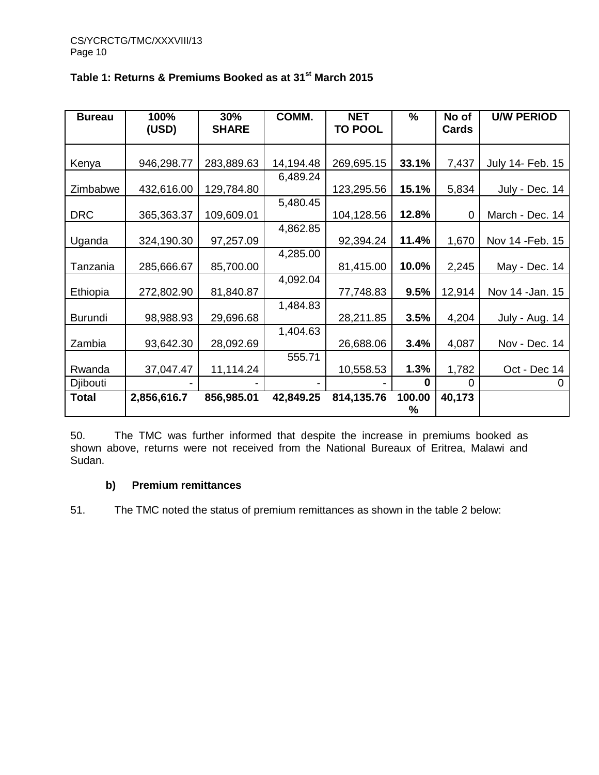| <b>Bureau</b>  | 100%        | 30%          | COMM.     | <b>NET</b>     | %        | No of  | <b>U/W PERIOD</b> |
|----------------|-------------|--------------|-----------|----------------|----------|--------|-------------------|
|                | (USD)       | <b>SHARE</b> |           | <b>TO POOL</b> |          | Cards  |                   |
|                |             |              |           |                |          |        |                   |
| Kenya          | 946,298.77  | 283,889.63   | 14,194.48 | 269,695.15     | 33.1%    | 7,437  | July 14- Feb. 15  |
|                |             |              | 6,489.24  |                |          |        |                   |
| Zimbabwe       | 432,616.00  | 129,784.80   |           | 123,295.56     | 15.1%    | 5,834  | July - Dec. 14    |
|                |             |              | 5,480.45  |                |          |        |                   |
| <b>DRC</b>     | 365,363.37  | 109,609.01   |           | 104,128.56     | 12.8%    | 0      | March - Dec. 14   |
|                |             |              | 4,862.85  |                |          |        |                   |
| Uganda         | 324,190.30  | 97,257.09    |           | 92,394.24      | 11.4%    | 1,670  | Nov 14 - Feb. 15  |
|                |             |              | 4,285.00  |                |          |        |                   |
| Tanzania       | 285,666.67  | 85,700.00    |           | 81,415.00      | 10.0%    | 2,245  | May - Dec. 14     |
|                |             |              | 4,092.04  |                |          |        |                   |
| Ethiopia       | 272,802.90  | 81,840.87    |           | 77,748.83      | 9.5%     | 12,914 | Nov 14 - Jan. 15  |
|                |             |              | 1,484.83  |                |          |        |                   |
| <b>Burundi</b> | 98,988.93   | 29,696.68    |           | 28,211.85      | 3.5%     | 4,204  | July - Aug. 14    |
|                |             |              | 1,404.63  |                |          |        |                   |
| Zambia         | 93,642.30   | 28,092.69    |           | 26,688.06      | 3.4%     | 4,087  | Nov - Dec. 14     |
|                |             |              | 555.71    |                |          |        |                   |
| Rwanda         | 37,047.47   | 11,114.24    |           | 10,558.53      | 1.3%     | 1,782  | Oct - Dec 14      |
| Djibouti       |             |              |           |                | $\Omega$ | 0      | $\mathbf{0}$      |
| Total          | 2,856,616.7 | 856,985.01   | 42,849.25 | 814,135.76     | 100.00   | 40,173 |                   |
|                |             |              |           |                | %        |        |                   |

# **Table 1: Returns & Premiums Booked as at 31st March 2015**

50. The TMC was further informed that despite the increase in premiums booked as shown above, returns were not received from the National Bureaux of Eritrea, Malawi and Sudan.

# **b) Premium remittances**

51. The TMC noted the status of premium remittances as shown in the table 2 below: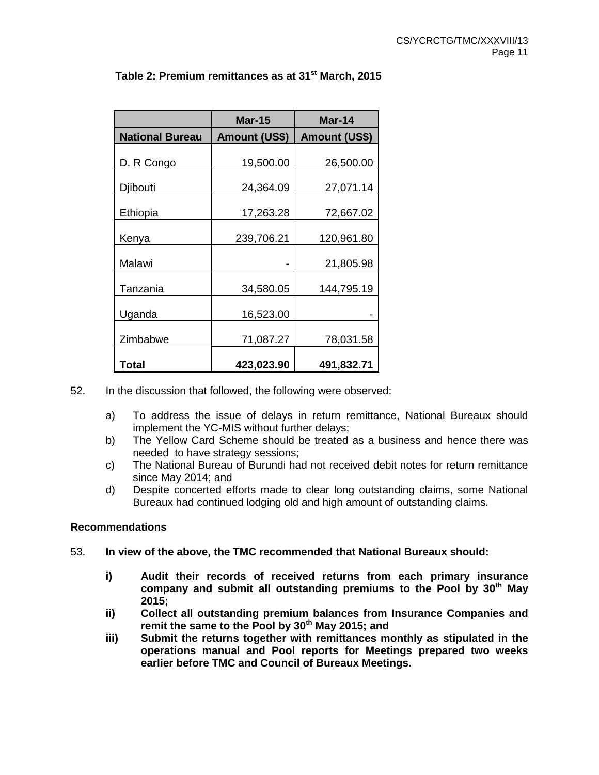|                        | <b>Mar-15</b>        | Mar-14               |
|------------------------|----------------------|----------------------|
| <b>National Bureau</b> | <b>Amount (US\$)</b> | <b>Amount (US\$)</b> |
| D. R Congo             | 19,500.00            | 26,500.00            |
| Djibouti               | 24,364.09            | 27,071.14            |
| Ethiopia               | 17,263.28            | 72,667.02            |
| Kenya                  | 239,706.21           | 120,961.80           |
| Malawi                 |                      | 21,805.98            |
| Tanzania               | 34,580.05            | 144,795.19           |
| Uganda                 | 16,523.00            |                      |
| Zimbabwe               | 71,087.27            | 78,031.58            |
| Total                  | 423,023.90           | 491,832.71           |

# **Table 2: Premium remittances as at 31st March, 2015**

- 52. In the discussion that followed, the following were observed:
	- a) To address the issue of delays in return remittance, National Bureaux should implement the YC-MIS without further delays;
	- b) The Yellow Card Scheme should be treated as a business and hence there was needed to have strategy sessions;
	- c) The National Bureau of Burundi had not received debit notes for return remittance since May 2014; and
	- d) Despite concerted efforts made to clear long outstanding claims, some National Bureaux had continued lodging old and high amount of outstanding claims.

#### **Recommendations**

- 53. **In view of the above, the TMC recommended that National Bureaux should:**
	- **i) Audit their records of received returns from each primary insurance company and submit all outstanding premiums to the Pool by 30th May 2015;**
	- **ii) Collect all outstanding premium balances from Insurance Companies and remit the same to the Pool by 30th May 2015; and**
	- **iii) Submit the returns together with remittances monthly as stipulated in the operations manual and Pool reports for Meetings prepared two weeks earlier before TMC and Council of Bureaux Meetings.**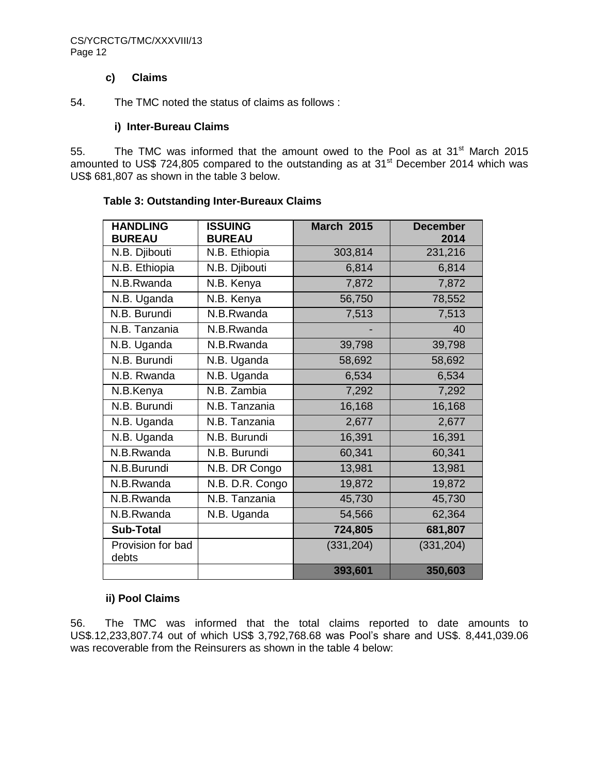#### CS/YCRCTG/TMC/XXXVIII/13 Page 12

#### **c) Claims**

54. The TMC noted the status of claims as follows :

#### **i) Inter-Bureau Claims**

55. The TMC was informed that the amount owed to the Pool as at  $31<sup>st</sup>$  March 2015 amounted to US\$ 724,805 compared to the outstanding as at  $31<sup>st</sup>$  December 2014 which was US\$ 681,807 as shown in the table 3 below.

| <b>HANDLING</b><br><b>BUREAU</b> | <b>ISSUING</b><br><b>BUREAU</b> | <b>March 2015</b> | <b>December</b><br>2014 |
|----------------------------------|---------------------------------|-------------------|-------------------------|
| N.B. Djibouti                    | N.B. Ethiopia                   | 303,814           | 231,216                 |
| N.B. Ethiopia                    | N.B. Djibouti                   | 6,814             | 6,814                   |
| N.B.Rwanda                       | N.B. Kenya                      | 7,872             | 7,872                   |
| N.B. Uganda                      | N.B. Kenya                      | 56,750            | 78,552                  |
| N.B. Burundi                     | N.B.Rwanda                      | 7,513             | 7,513                   |
| N.B. Tanzania                    | N.B.Rwanda                      |                   | 40                      |
| N.B. Uganda                      | N.B.Rwanda                      | 39,798            | 39,798                  |
| N.B. Burundi                     | N.B. Uganda                     | 58,692            | 58,692                  |
| N.B. Rwanda                      | N.B. Uganda                     | 6,534             | 6,534                   |
| N.B.Kenya                        | N.B. Zambia                     | 7,292             | 7,292                   |
| N.B. Burundi                     | N.B. Tanzania                   | 16,168            | 16,168                  |
| N.B. Uganda                      | N.B. Tanzania                   | 2,677             | 2,677                   |
| $N.B.$ Uganda                    | N.B. Burundi                    | 16,391            | 16,391                  |
| N.B.Rwanda                       | N.B. Burundi                    | 60,341            | 60,341                  |
| N.B.Burundi                      | N.B. DR Congo                   | 13,981            | 13,981                  |
| N.B.Rwanda                       | N.B. D.R. Congo                 | 19,872            | 19,872                  |
| N.B.Rwanda                       | N.B. Tanzania                   | 45,730            | 45,730                  |
| N.B.Rwanda                       | N.B. Uganda                     | 54,566            | 62,364                  |
| <b>Sub-Total</b>                 |                                 | 724,805           | 681,807                 |
| Provision for bad<br>debts       |                                 | (331, 204)        | (331, 204)              |
|                                  |                                 | 393,601           | 350,603                 |

#### **Table 3: Outstanding Inter-Bureaux Claims**

## **ii) Pool Claims**

56. The TMC was informed that the total claims reported to date amounts to US\$.12,233,807.74 out of which US\$ 3,792,768.68 was Pool's share and US\$. 8,441,039.06 was recoverable from the Reinsurers as shown in the table 4 below: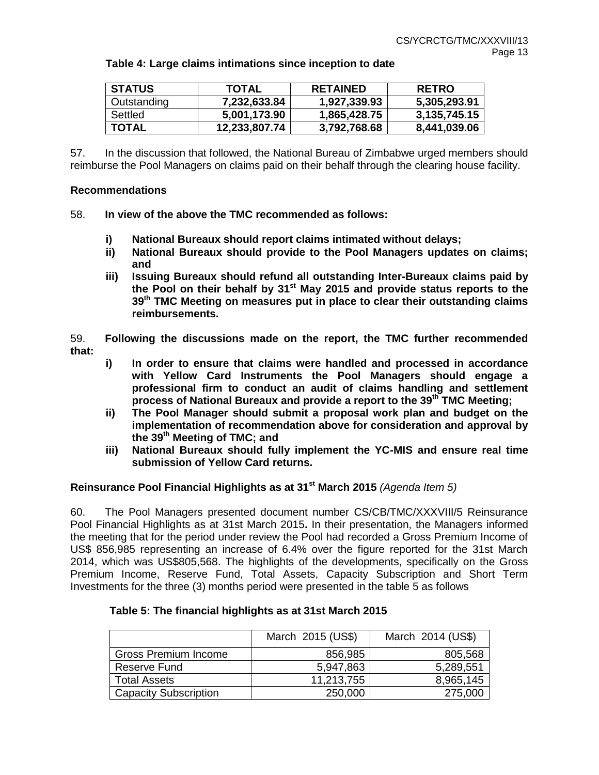| <b>STATUS</b> | <b>TOTAL</b>  | <b>RETAINED</b> | <b>RETRO</b> |
|---------------|---------------|-----------------|--------------|
| Outstanding   | 7,232,633.84  | 1,927,339.93    | 5.305.293.91 |
| Settled       | 5,001,173.90  | 1,865,428.75    | 3.135.745.15 |
| <b>TOTAL</b>  | 12,233,807.74 | 3,792,768.68    | 8,441,039.06 |

#### **Table 4: Large claims intimations since inception to date**

57. In the discussion that followed, the National Bureau of Zimbabwe urged members should reimburse the Pool Managers on claims paid on their behalf through the clearing house facility.

#### **Recommendations**

- 58. **In view of the above the TMC recommended as follows:**
	- **i) National Bureaux should report claims intimated without delays;**
	- **ii) National Bureaux should provide to the Pool Managers updates on claims; and**
	- **iii) Issuing Bureaux should refund all outstanding Inter-Bureaux claims paid by the Pool on their behalf by 31st May 2015 and provide status reports to the 39th TMC Meeting on measures put in place to clear their outstanding claims reimbursements.**
- 59. **Following the discussions made on the report, the TMC further recommended that:**
	- **i) In order to ensure that claims were handled and processed in accordance with Yellow Card Instruments the Pool Managers should engage a professional firm to conduct an audit of claims handling and settlement process of National Bureaux and provide a report to the 39th TMC Meeting;**
	- **ii) The Pool Manager should submit a proposal work plan and budget on the implementation of recommendation above for consideration and approval by the 39th Meeting of TMC; and**
	- **iii) National Bureaux should fully implement the YC-MIS and ensure real time submission of Yellow Card returns.**

#### **Reinsurance Pool Financial Highlights as at 31st March 2015** *(Agenda Item 5)*

60. The Pool Managers presented document number CS/CB/TMC/XXXVIII/5 Reinsurance Pool Financial Highlights as at 31st March 2015**.** In their presentation, the Managers informed the meeting that for the period under review the Pool had recorded a Gross Premium Income of US\$ 856,985 representing an increase of 6.4% over the figure reported for the 31st March 2014, which was US\$805,568. The highlights of the developments, specifically on the Gross Premium Income, Reserve Fund, Total Assets, Capacity Subscription and Short Term Investments for the three (3) months period were presented in the table 5 as follows

|                              | March 2015 (US\$) | March 2014 (US\$) |
|------------------------------|-------------------|-------------------|
| Gross Premium Income         | 856,985           | 805,568           |
| Reserve Fund                 | 5,947,863         | 5,289,551         |
| <b>Total Assets</b>          | 11,213,755        | 8,965,145         |
| <b>Capacity Subscription</b> | 250,000           | 275,000           |

#### **Table 5: The financial highlights as at 31st March 2015**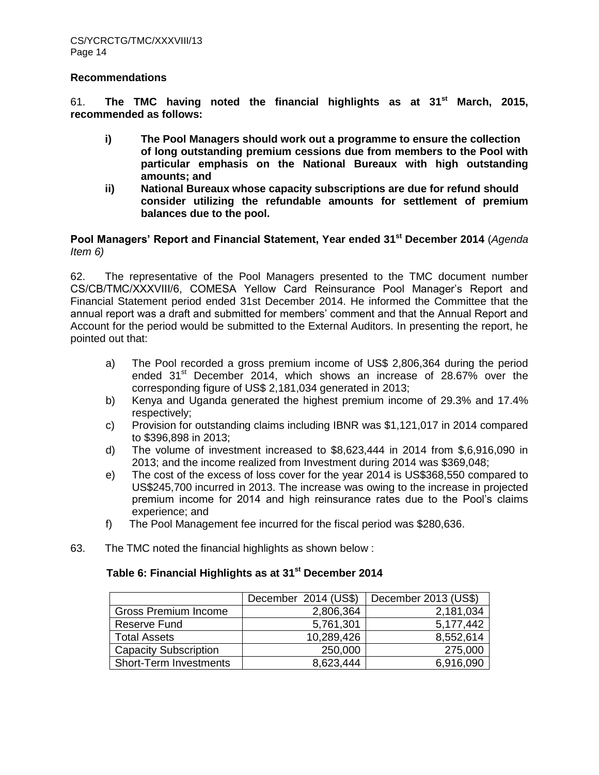#### **Recommendations**

61. **The TMC having noted the financial highlights as at 31st March, 2015, recommended as follows:**

- **i) The Pool Managers should work out a programme to ensure the collection of long outstanding premium cessions due from members to the Pool with particular emphasis on the National Bureaux with high outstanding amounts; and**
- **ii) National Bureaux whose capacity subscriptions are due for refund should consider utilizing the refundable amounts for settlement of premium balances due to the pool.**

**Pool Managers' Report and Financial Statement, Year ended 31st December 2014** (*Agenda Item 6)*

62. The representative of the Pool Managers presented to the TMC document number CS/CB/TMC/XXXVIII/6, COMESA Yellow Card Reinsurance Pool Manager's Report and Financial Statement period ended 31st December 2014. He informed the Committee that the annual report was a draft and submitted for members' comment and that the Annual Report and Account for the period would be submitted to the External Auditors. In presenting the report, he pointed out that:

- a) The Pool recorded a gross premium income of US\$ 2,806,364 during the period ended  $31<sup>st</sup>$  December 2014, which shows an increase of 28.67% over the corresponding figure of US\$ 2,181,034 generated in 2013;
- b) Kenya and Uganda generated the highest premium income of 29.3% and 17.4% respectively;
- c) Provision for outstanding claims including IBNR was \$1,121,017 in 2014 compared to \$396,898 in 2013;
- d) The volume of investment increased to \$8,623,444 in 2014 from \$,6,916,090 in 2013; and the income realized from Investment during 2014 was \$369,048;
- e) The cost of the excess of loss cover for the year 2014 is US\$368,550 compared to US\$245,700 incurred in 2013. The increase was owing to the increase in projected premium income for 2014 and high reinsurance rates due to the Pool's claims experience; and
- f) The Pool Management fee incurred for the fiscal period was \$280,636.
- 63. The TMC noted the financial highlights as shown below :

# **Table 6: Financial Highlights as at 31st December 2014**

|                               | December 2014 (US\$) | December 2013 (US\$) |
|-------------------------------|----------------------|----------------------|
| Gross Premium Income          | 2,806,364            | 2,181,034            |
| <b>Reserve Fund</b>           | 5,761,301            | 5,177,442            |
| <b>Total Assets</b>           | 10,289,426           | 8,552,614            |
| <b>Capacity Subscription</b>  | 250,000              | 275,000              |
| <b>Short-Term Investments</b> | 8,623,444            | 6,916,090            |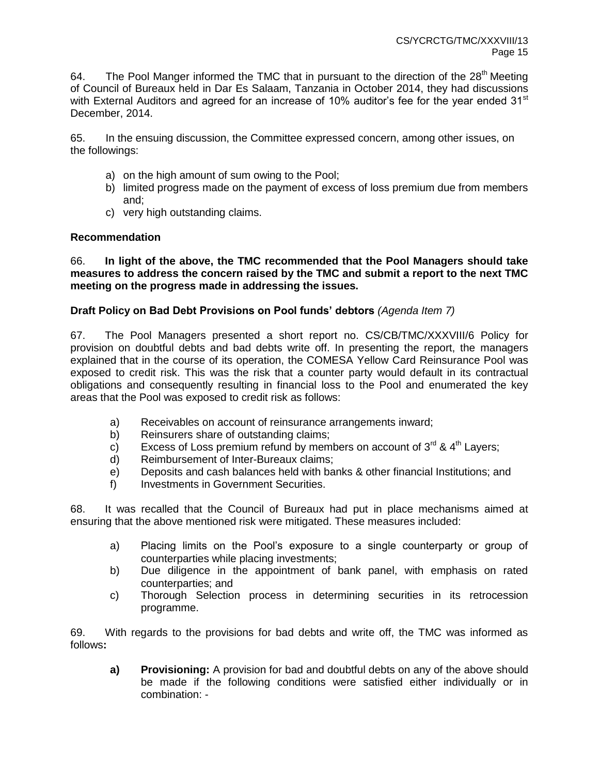64. The Pool Manger informed the TMC that in pursuant to the direction of the  $28<sup>th</sup>$  Meeting of Council of Bureaux held in Dar Es Salaam, Tanzania in October 2014, they had discussions with External Auditors and agreed for an increase of 10% auditor's fee for the year ended 31 $\mathrm{^{st}}$ December, 2014.

65. In the ensuing discussion, the Committee expressed concern, among other issues, on the followings:

- a) on the high amount of sum owing to the Pool;
- b) limited progress made on the payment of excess of loss premium due from members and;
- c) very high outstanding claims.

## **Recommendation**

66. **In light of the above, the TMC recommended that the Pool Managers should take measures to address the concern raised by the TMC and submit a report to the next TMC meeting on the progress made in addressing the issues.** 

# **Draft Policy on Bad Debt Provisions on Pool funds' debtors** *(Agenda Item 7)*

67. The Pool Managers presented a short report no. CS/CB/TMC/XXXVIII/6 Policy for provision on doubtful debts and bad debts write off. In presenting the report, the managers explained that in the course of its operation, the COMESA Yellow Card Reinsurance Pool was exposed to credit risk. This was the risk that a counter party would default in its contractual obligations and consequently resulting in financial loss to the Pool and enumerated the key areas that the Pool was exposed to credit risk as follows:

- a) Receivables on account of reinsurance arrangements inward;
- b) Reinsurers share of outstanding claims;
- c) Excess of Loss premium refund by members on account of  $3^{rd}$  &  $4^{th}$  Layers;
- d) Reimbursement of Inter-Bureaux claims;
- e) Deposits and cash balances held with banks & other financial Institutions; and
- f) Investments in Government Securities.

68. It was recalled that the Council of Bureaux had put in place mechanisms aimed at ensuring that the above mentioned risk were mitigated. These measures included:

- a) Placing limits on the Pool's exposure to a single counterparty or group of counterparties while placing investments;
- b) Due diligence in the appointment of bank panel, with emphasis on rated counterparties; and
- c) Thorough Selection process in determining securities in its retrocession programme.

69. With regards to the provisions for bad debts and write off, the TMC was informed as follows**:**

**a) Provisioning:** A provision for bad and doubtful debts on any of the above should be made if the following conditions were satisfied either individually or in combination: -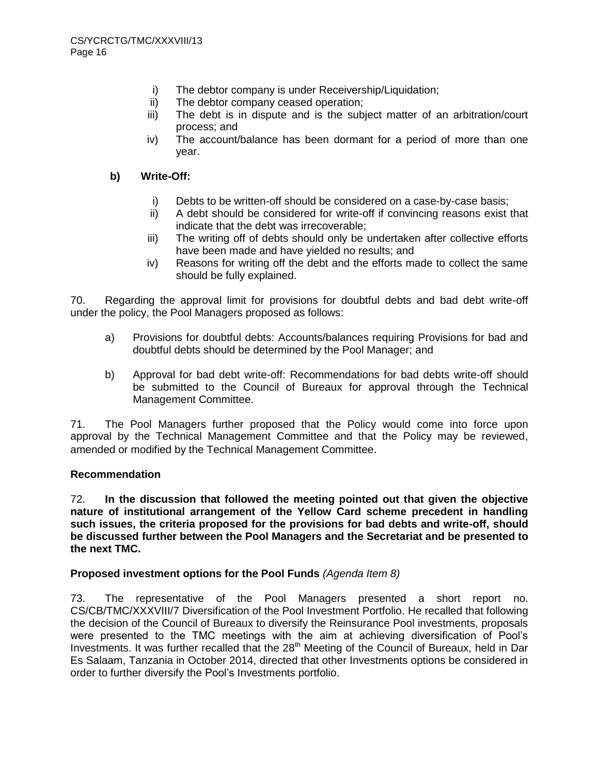- i) The debtor company is under Receivership/Liquidation;
- ii) The debtor company ceased operation;
- iii) The debt is in dispute and is the subject matter of an arbitration/court process; and
- iv) The account/balance has been dormant for a period of more than one year.

### **b) Write-Off:**

- i) Debts to be written-off should be considered on a case-by-case basis;
- ii) A debt should be considered for write-off if convincing reasons exist that indicate that the debt was irrecoverable;
- iii) The writing off of debts should only be undertaken after collective efforts have been made and have yielded no results; and
- iv) Reasons for writing off the debt and the efforts made to collect the same should be fully explained.

70. Regarding the approval limit for provisions for doubtful debts and bad debt write-off under the policy, the Pool Managers proposed as follows:

- a) Provisions for doubtful debts: Accounts/balances requiring Provisions for bad and doubtful debts should be determined by the Pool Manager; and
- b) Approval for bad debt write-off: Recommendations for bad debts write-off should be submitted to the Council of Bureaux for approval through the Technical Management Committee.

71. The Pool Managers further proposed that the Policy would come into force upon approval by the Technical Management Committee and that the Policy may be reviewed, amended or modified by the Technical Management Committee.

## **Recommendation**

72. **In the discussion that followed the meeting pointed out that given the objective nature of institutional arrangement of the Yellow Card scheme precedent in handling such issues, the criteria proposed for the provisions for bad debts and write-off, should be discussed further between the Pool Managers and the Secretariat and be presented to the next TMC.**

## **Proposed investment options for the Pool Funds** *(Agenda Item 8)*

73. The representative of the Pool Managers presented a short report no. CS/CB/TMC/XXXVIII/7 Diversification of the Pool Investment Portfolio. He recalled that following the decision of the Council of Bureaux to diversify the Reinsurance Pool investments, proposals were presented to the TMC meetings with the aim at achieving diversification of Pool's Investments. It was further recalled that the 28<sup>th</sup> Meeting of the Council of Bureaux, held in Dar Es Salaam, Tanzania in October 2014, directed that other Investments options be considered in order to further diversify the Pool's Investments portfolio.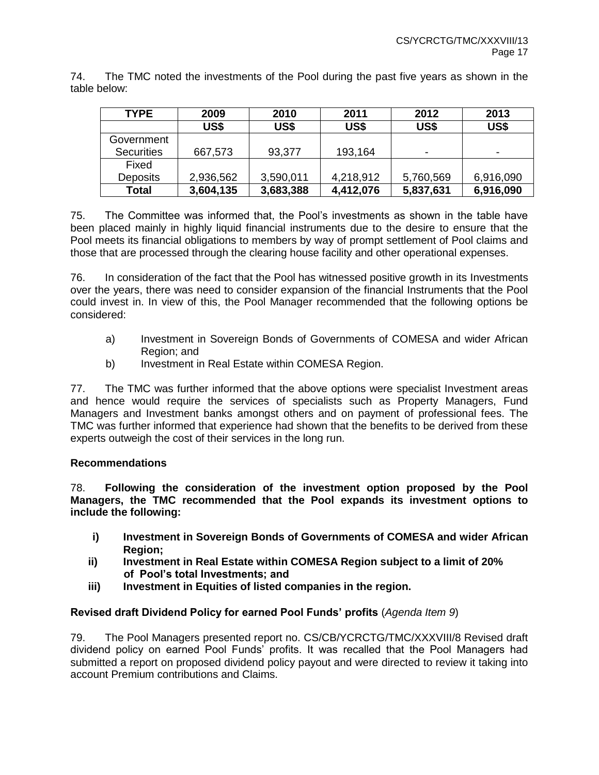74. The TMC noted the investments of the Pool during the past five years as shown in the table below:

| <b>TYPE</b>       | 2009      | 2010      | 2011      | 2012      | 2013                     |
|-------------------|-----------|-----------|-----------|-----------|--------------------------|
|                   | US\$      | US\$      | US\$      | US\$      | US\$                     |
| Government        |           |           |           |           |                          |
| <b>Securities</b> | 667,573   | 93,377    | 193,164   | ٠         | $\overline{\phantom{a}}$ |
| Fixed             |           |           |           |           |                          |
| <b>Deposits</b>   | 2,936,562 | 3,590,011 | 4,218,912 | 5,760,569 | 6,916,090                |
| <b>Total</b>      | 3,604,135 | 3,683,388 | 4,412,076 | 5,837,631 | 6,916,090                |

75. The Committee was informed that, the Pool's investments as shown in the table have been placed mainly in highly liquid financial instruments due to the desire to ensure that the Pool meets its financial obligations to members by way of prompt settlement of Pool claims and those that are processed through the clearing house facility and other operational expenses.

76. In consideration of the fact that the Pool has witnessed positive growth in its Investments over the years, there was need to consider expansion of the financial Instruments that the Pool could invest in. In view of this, the Pool Manager recommended that the following options be considered:

- a) Investment in Sovereign Bonds of Governments of COMESA and wider African Region; and
- b) Investment in Real Estate within COMESA Region.

77. The TMC was further informed that the above options were specialist Investment areas and hence would require the services of specialists such as Property Managers, Fund Managers and Investment banks amongst others and on payment of professional fees. The TMC was further informed that experience had shown that the benefits to be derived from these experts outweigh the cost of their services in the long run.

## **Recommendations**

78. **Following the consideration of the investment option proposed by the Pool Managers, the TMC recommended that the Pool expands its investment options to include the following:**

- **i) Investment in Sovereign Bonds of Governments of COMESA and wider African Region;**
- **ii) Investment in Real Estate within COMESA Region subject to a limit of 20% of Pool's total Investments; and**
- **iii) Investment in Equities of listed companies in the region.**

## **Revised draft Dividend Policy for earned Pool Funds' profits** (*Agenda Item 9*)

79. The Pool Managers presented report no. CS/CB/YCRCTG/TMC/XXXVIII/8 Revised draft dividend policy on earned Pool Funds' profits. It was recalled that the Pool Managers had submitted a report on proposed dividend policy payout and were directed to review it taking into account Premium contributions and Claims.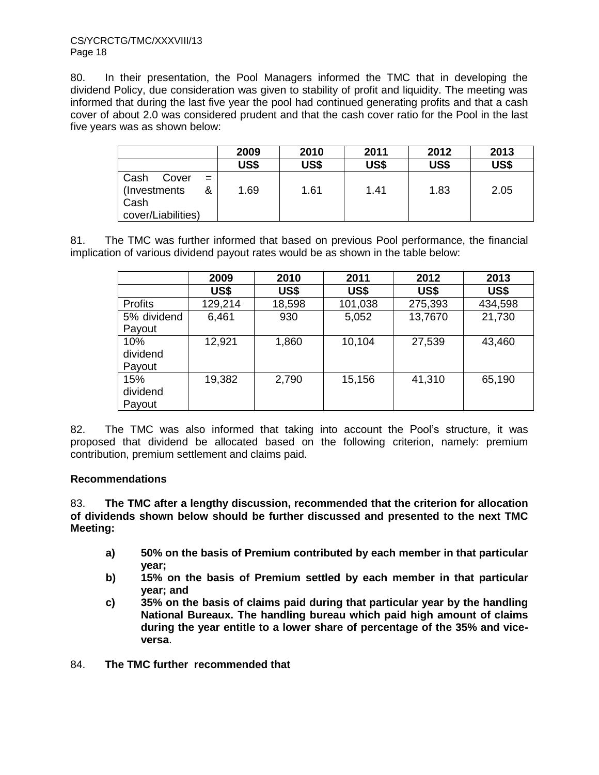80. In their presentation, the Pool Managers informed the TMC that in developing the dividend Policy, due consideration was given to stability of profit and liquidity. The meeting was informed that during the last five year the pool had continued generating profits and that a cash cover of about 2.0 was considered prudent and that the cash cover ratio for the Pool in the last five years was as shown below:

|                      | 2009 | 2010 | 2011        | 2012 | 2013 |
|----------------------|------|------|-------------|------|------|
|                      | US\$ | US\$ | <b>US\$</b> | US\$ | US\$ |
| Cash<br>Cover<br>$=$ |      |      |             |      |      |
| (Investments)<br>&   | 1.69 | 1.61 | 1.41        | 1.83 | 2.05 |
| Cash                 |      |      |             |      |      |
| cover/Liabilities)   |      |      |             |      |      |

81. The TMC was further informed that based on previous Pool performance, the financial implication of various dividend payout rates would be as shown in the table below:

|                | 2009    | 2010   | 2011    | 2012    | 2013    |
|----------------|---------|--------|---------|---------|---------|
|                | US\$    | US\$   | US\$    | US\$    | US\$    |
| <b>Profits</b> | 129,214 | 18,598 | 101,038 | 275,393 | 434,598 |
| 5% dividend    | 6,461   | 930    | 5,052   | 13,7670 | 21,730  |
| Payout         |         |        |         |         |         |
| 10%            | 12,921  | 1,860  | 10,104  | 27,539  | 43,460  |
| dividend       |         |        |         |         |         |
| Payout         |         |        |         |         |         |
| 15%            | 19,382  | 2,790  | 15,156  | 41,310  | 65,190  |
| dividend       |         |        |         |         |         |
| Payout         |         |        |         |         |         |

82. The TMC was also informed that taking into account the Pool's structure, it was proposed that dividend be allocated based on the following criterion, namely: premium contribution, premium settlement and claims paid.

## **Recommendations**

83. **The TMC after a lengthy discussion, recommended that the criterion for allocation of dividends shown below should be further discussed and presented to the next TMC Meeting:**

- **a) 50% on the basis of Premium contributed by each member in that particular year;**
- **b) 15% on the basis of Premium settled by each member in that particular year; and**
- **c) 35% on the basis of claims paid during that particular year by the handling National Bureaux. The handling bureau which paid high amount of claims during the year entitle to a lower share of percentage of the 35% and viceversa**.
- 84. **The TMC further recommended that**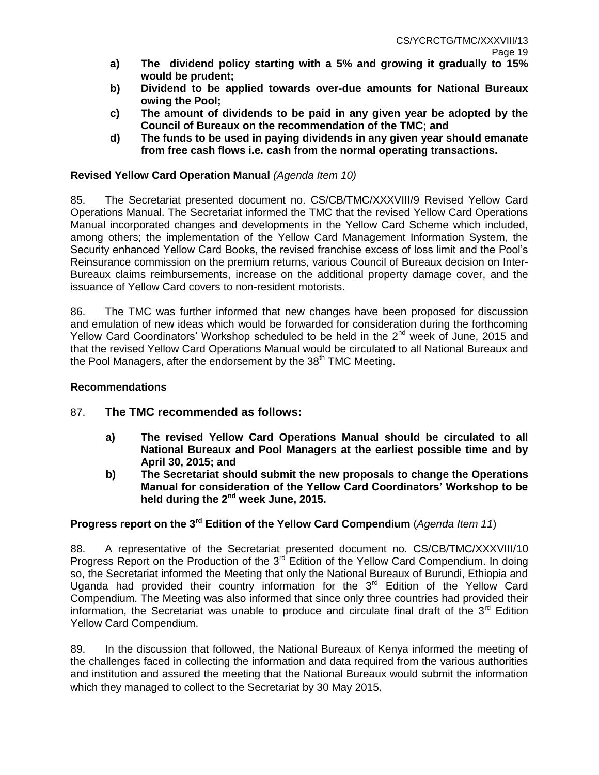- **a) The dividend policy starting with a 5% and growing it gradually to 15% would be prudent;**
- **b) Dividend to be applied towards over-due amounts for National Bureaux owing the Pool;**
- **c) The amount of dividends to be paid in any given year be adopted by the Council of Bureaux on the recommendation of the TMC; and**
- **d) The funds to be used in paying dividends in any given year should emanate from free cash flows i.e. cash from the normal operating transactions.**

#### **Revised Yellow Card Operation Manual** *(Agenda Item 10)*

85. The Secretariat presented document no. CS/CB/TMC/XXXVIII/9 Revised Yellow Card Operations Manual. The Secretariat informed the TMC that the revised Yellow Card Operations Manual incorporated changes and developments in the Yellow Card Scheme which included, among others; the implementation of the Yellow Card Management Information System, the Security enhanced Yellow Card Books, the revised franchise excess of loss limit and the Pool's Reinsurance commission on the premium returns, various Council of Bureaux decision on Inter-Bureaux claims reimbursements, increase on the additional property damage cover, and the issuance of Yellow Card covers to non-resident motorists.

86. The TMC was further informed that new changes have been proposed for discussion and emulation of new ideas which would be forwarded for consideration during the forthcoming Yellow Card Coordinators' Workshop scheduled to be held in the 2<sup>nd</sup> week of June, 2015 and that the revised Yellow Card Operations Manual would be circulated to all National Bureaux and the Pool Managers, after the endorsement by the 38<sup>th</sup> TMC Meeting.

#### **Recommendations**

## 87. **The TMC recommended as follows:**

- **a) The revised Yellow Card Operations Manual should be circulated to all National Bureaux and Pool Managers at the earliest possible time and by April 30, 2015; and**
- **b) The Secretariat should submit the new proposals to change the Operations Manual for consideration of the Yellow Card Coordinators' Workshop to be held during the 2nd week June, 2015.**

# **Progress report on the 3rd Edition of the Yellow Card Compendium** (*Agenda Item 11*)

88. A representative of the Secretariat presented document no. CS/CB/TMC/XXXVIII/10 Progress Report on the Production of the  $3^{rd}$  Edition of the Yellow Card Compendium. In doing so, the Secretariat informed the Meeting that only the National Bureaux of Burundi, Ethiopia and Uganda had provided their country information for the  $3<sup>rd</sup>$  Edition of the Yellow Card Compendium. The Meeting was also informed that since only three countries had provided their information, the Secretariat was unable to produce and circulate final draft of the  $3<sup>rd</sup>$  Edition Yellow Card Compendium.

89. In the discussion that followed, the National Bureaux of Kenya informed the meeting of the challenges faced in collecting the information and data required from the various authorities and institution and assured the meeting that the National Bureaux would submit the information which they managed to collect to the Secretariat by 30 May 2015.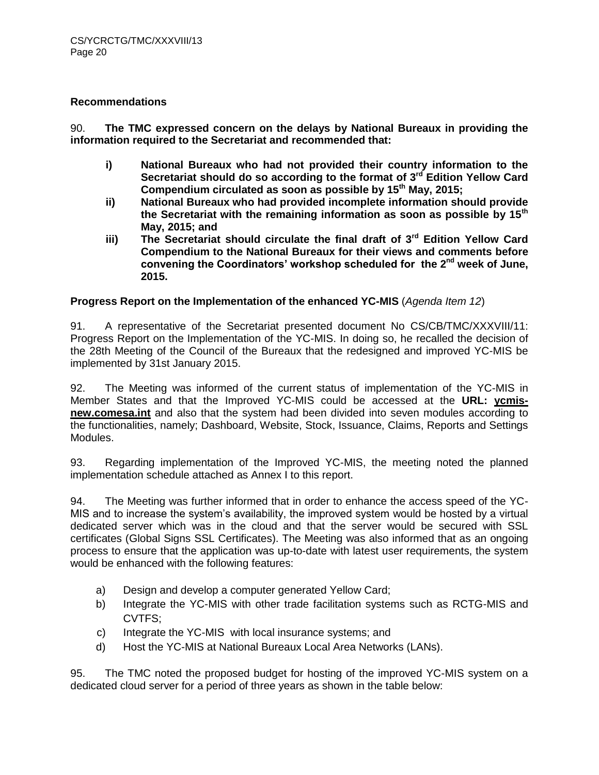#### **Recommendations**

90. **The TMC expressed concern on the delays by National Bureaux in providing the information required to the Secretariat and recommended that:**

- **i) National Bureaux who had not provided their country information to the Secretariat should do so according to the format of 3rd Edition Yellow Card Compendium circulated as soon as possible by 15th May, 2015;**
- **ii) National Bureaux who had provided incomplete information should provide the Secretariat with the remaining information as soon as possible by 15th May, 2015; and**
- **iii) The Secretariat should circulate the final draft of 3rd Edition Yellow Card Compendium to the National Bureaux for their views and comments before convening the Coordinators' workshop scheduled for the 2nd week of June, 2015.**

#### **Progress Report on the Implementation of the enhanced YC-MIS** (*Agenda Item 12*)

91. A representative of the Secretariat presented document No CS/CB/TMC/XXXVIII/11: Progress Report on the Implementation of the YC-MIS. In doing so, he recalled the decision of the 28th Meeting of the Council of the Bureaux that the redesigned and improved YC-MIS be implemented by 31st January 2015.

92. The Meeting was informed of the current status of implementation of the YC-MIS in Member States and that the Improved YC-MIS could be accessed at the **URL: ycmisnew.comesa.int** and also that the system had been divided into seven modules according to the functionalities, namely; Dashboard, Website, Stock, Issuance, Claims, Reports and Settings Modules.

93. Regarding implementation of the Improved YC-MIS, the meeting noted the planned implementation schedule attached as Annex I to this report.

94. The Meeting was further informed that in order to enhance the access speed of the YC-MIS and to increase the system's availability, the improved system would be hosted by a virtual dedicated server which was in the cloud and that the server would be secured with SSL certificates (Global Signs SSL Certificates). The Meeting was also informed that as an ongoing process to ensure that the application was up-to-date with latest user requirements, the system would be enhanced with the following features:

- a) Design and develop a computer generated Yellow Card;
- b) Integrate the YC-MIS with other trade facilitation systems such as RCTG-MIS and CVTFS;
- c) Integrate the YC-MIS with local insurance systems; and
- d) Host the YC-MIS at National Bureaux Local Area Networks (LANs).

95. The TMC noted the proposed budget for hosting of the improved YC-MIS system on a dedicated cloud server for a period of three years as shown in the table below: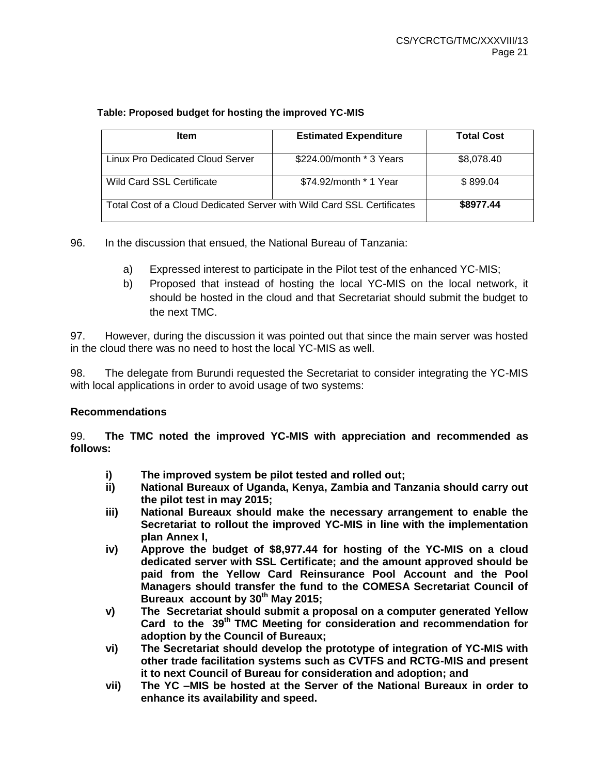#### **Table: Proposed budget for hosting the improved YC-MIS**

| <b>Item</b>                                                            | <b>Estimated Expenditure</b> | <b>Total Cost</b> |
|------------------------------------------------------------------------|------------------------------|-------------------|
| Linux Pro Dedicated Cloud Server                                       | \$224.00/month * 3 Years     | \$8,078.40        |
| <b>Wild Card SSL Certificate</b>                                       | \$74.92/month * 1 Year       | \$899.04          |
| Total Cost of a Cloud Dedicated Server with Wild Card SSL Certificates | \$8977.44                    |                   |

96. In the discussion that ensued, the National Bureau of Tanzania:

- a) Expressed interest to participate in the Pilot test of the enhanced YC-MIS;
- b) Proposed that instead of hosting the local YC-MIS on the local network, it should be hosted in the cloud and that Secretariat should submit the budget to the next TMC.

97. However, during the discussion it was pointed out that since the main server was hosted in the cloud there was no need to host the local YC-MIS as well.

98. The delegate from Burundi requested the Secretariat to consider integrating the YC-MIS with local applications in order to avoid usage of two systems:

## **Recommendations**

99. **The TMC noted the improved YC-MIS with appreciation and recommended as follows:** 

- **i) The improved system be pilot tested and rolled out;**
- **ii) National Bureaux of Uganda, Kenya, Zambia and Tanzania should carry out the pilot test in may 2015;**
- **iii) National Bureaux should make the necessary arrangement to enable the Secretariat to rollout the improved YC-MIS in line with the implementation plan Annex I,**
- **iv) Approve the budget of \$8,977.44 for hosting of the YC-MIS on a cloud dedicated server with SSL Certificate; and the amount approved should be paid from the Yellow Card Reinsurance Pool Account and the Pool Managers should transfer the fund to the COMESA Secretariat Council of Bureaux account by 30th May 2015;**
- **v) The Secretariat should submit a proposal on a computer generated Yellow Card to the 39th TMC Meeting for consideration and recommendation for adoption by the Council of Bureaux;**
- **vi) The Secretariat should develop the prototype of integration of YC-MIS with other trade facilitation systems such as CVTFS and RCTG-MIS and present it to next Council of Bureau for consideration and adoption; and**
- **vii) The YC –MIS be hosted at the Server of the National Bureaux in order to enhance its availability and speed.**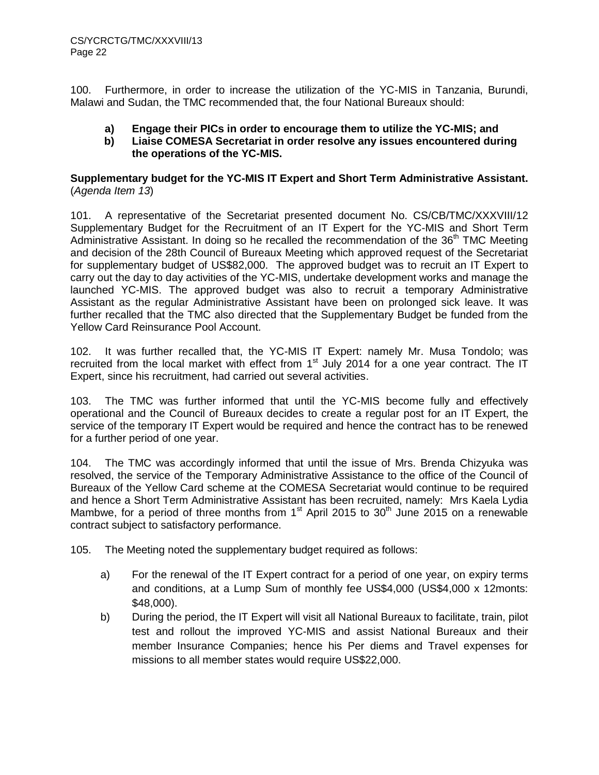100. Furthermore, in order to increase the utilization of the YC-MIS in Tanzania, Burundi, Malawi and Sudan, the TMC recommended that, the four National Bureaux should:

# **a) Engage their PICs in order to encourage them to utilize the YC-MIS; and**

**b) Liaise COMESA Secretariat in order resolve any issues encountered during the operations of the YC-MIS.**

**Supplementary budget for the YC-MIS IT Expert and Short Term Administrative Assistant.**  (*Agenda Item 13*)

101. A representative of the Secretariat presented document No. CS/CB/TMC/XXXVIII/12 Supplementary Budget for the Recruitment of an IT Expert for the YC-MIS and Short Term Administrative Assistant. In doing so he recalled the recommendation of the  $36<sup>th</sup>$  TMC Meeting and decision of the 28th Council of Bureaux Meeting which approved request of the Secretariat for supplementary budget of US\$82,000. The approved budget was to recruit an IT Expert to carry out the day to day activities of the YC-MIS, undertake development works and manage the launched YC-MIS. The approved budget was also to recruit a temporary Administrative Assistant as the regular Administrative Assistant have been on prolonged sick leave. It was further recalled that the TMC also directed that the Supplementary Budget be funded from the Yellow Card Reinsurance Pool Account.

102. It was further recalled that, the YC-MIS IT Expert: namely Mr. Musa Tondolo; was recruited from the local market with effect from  $1<sup>st</sup>$  July 2014 for a one year contract. The IT Expert, since his recruitment, had carried out several activities.

103. The TMC was further informed that until the YC-MIS become fully and effectively operational and the Council of Bureaux decides to create a regular post for an IT Expert, the service of the temporary IT Expert would be required and hence the contract has to be renewed for a further period of one year.

104. The TMC was accordingly informed that until the issue of Mrs. Brenda Chizyuka was resolved, the service of the Temporary Administrative Assistance to the office of the Council of Bureaux of the Yellow Card scheme at the COMESA Secretariat would continue to be required and hence a Short Term Administrative Assistant has been recruited, namely: Mrs Kaela Lydia Mambwe, for a period of three months from  $1<sup>st</sup>$  April 2015 to 30<sup>th</sup> June 2015 on a renewable contract subject to satisfactory performance.

105. The Meeting noted the supplementary budget required as follows:

- a) For the renewal of the IT Expert contract for a period of one year, on expiry terms and conditions, at a Lump Sum of monthly fee US\$4,000 (US\$4,000 x 12monts: \$48,000).
- b) During the period, the IT Expert will visit all National Bureaux to facilitate, train, pilot test and rollout the improved YC-MIS and assist National Bureaux and their member Insurance Companies; hence his Per diems and Travel expenses for missions to all member states would require US\$22,000.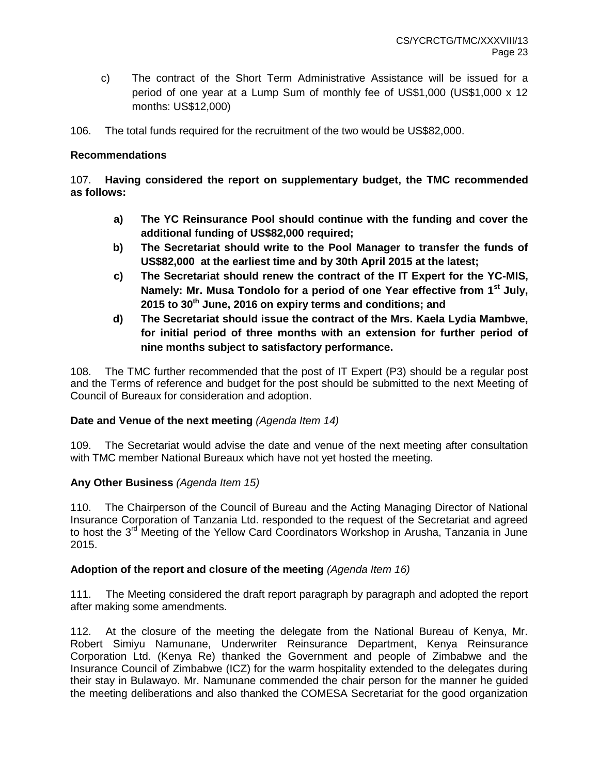- c) The contract of the Short Term Administrative Assistance will be issued for a period of one year at a Lump Sum of monthly fee of US\$1,000 (US\$1,000 x 12 months: US\$12,000)
- 106. The total funds required for the recruitment of the two would be US\$82,000.

#### **Recommendations**

## 107. **Having considered the report on supplementary budget, the TMC recommended as follows:**

- **a) The YC Reinsurance Pool should continue with the funding and cover the additional funding of US\$82,000 required;**
- **b) The Secretariat should write to the Pool Manager to transfer the funds of US\$82,000 at the earliest time and by 30th April 2015 at the latest;**
- **c) The Secretariat should renew the contract of the IT Expert for the YC-MIS, Namely: Mr. Musa Tondolo for a period of one Year effective from 1st July, 2015 to 30th June, 2016 on expiry terms and conditions; and**
- **d) The Secretariat should issue the contract of the Mrs. Kaela Lydia Mambwe, for initial period of three months with an extension for further period of nine months subject to satisfactory performance.**

108. The TMC further recommended that the post of IT Expert (P3) should be a regular post and the Terms of reference and budget for the post should be submitted to the next Meeting of Council of Bureaux for consideration and adoption.

## **Date and Venue of the next meeting** *(Agenda Item 14)*

109. The Secretariat would advise the date and venue of the next meeting after consultation with TMC member National Bureaux which have not yet hosted the meeting.

## **Any Other Business** *(Agenda Item 15)*

110. The Chairperson of the Council of Bureau and the Acting Managing Director of National Insurance Corporation of Tanzania Ltd. responded to the request of the Secretariat and agreed to host the 3<sup>rd</sup> Meeting of the Yellow Card Coordinators Workshop in Arusha, Tanzania in June 2015.

#### **Adoption of the report and closure of the meeting** *(Agenda Item 16)*

111. The Meeting considered the draft report paragraph by paragraph and adopted the report after making some amendments.

112. At the closure of the meeting the delegate from the National Bureau of Kenya, Mr. Robert Simiyu Namunane, Underwriter Reinsurance Department, Kenya Reinsurance Corporation Ltd. (Kenya Re) thanked the Government and people of Zimbabwe and the Insurance Council of Zimbabwe (ICZ) for the warm hospitality extended to the delegates during their stay in Bulawayo. Mr. Namunane commended the chair person for the manner he guided the meeting deliberations and also thanked the COMESA Secretariat for the good organization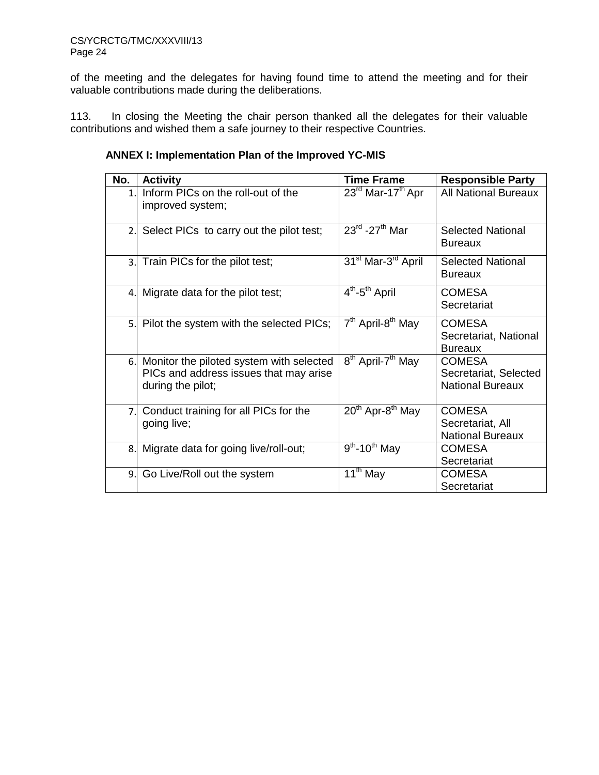of the meeting and the delegates for having found time to attend the meeting and for their valuable contributions made during the deliberations.

113. In closing the Meeting the chair person thanked all the delegates for their valuable contributions and wished them a safe journey to their respective Countries.

| No.            | <b>Activity</b>                                                                                         | <b>Time Frame</b>                          | <b>Responsible Party</b>                                          |
|----------------|---------------------------------------------------------------------------------------------------------|--------------------------------------------|-------------------------------------------------------------------|
| 1 <sub>1</sub> | Inform PICs on the roll-out of the<br>improved system;                                                  | $23^{\text{rd}}$ Mar-17 <sup>th</sup> Apr  | <b>All National Bureaux</b>                                       |
|                | 2. Select PICs to carry out the pilot test;                                                             | $23^{\text{rd}}$ -27 <sup>th</sup> Mar     | <b>Selected National</b><br>Bureaux                               |
|                | 3. Train PICs for the pilot test;                                                                       | 31 <sup>st</sup> Mar-3 <sup>rd</sup> April | <b>Selected National</b><br>Bureaux                               |
|                | 4. Migrate data for the pilot test;                                                                     | $\overline{4^{th}}$ -5 <sup>th</sup> April | <b>COMESA</b><br>Secretariat                                      |
|                | 5. Pilot the system with the selected PICs;                                                             | 7 <sup>th</sup> April-8 <sup>th</sup> May  | <b>COMESA</b><br>Secretariat, National<br><b>Bureaux</b>          |
| 6.1            | Monitor the piloted system with selected<br>PICs and address issues that may arise<br>during the pilot; | 8 <sup>th</sup> April-7 <sup>th</sup> May  | <b>COMESA</b><br>Secretariat, Selected<br><b>National Bureaux</b> |
| 7.1            | Conduct training for all PICs for the<br>going live;                                                    | $20th$ Apr-8 <sup>th</sup> May             | <b>COMESA</b><br>Secretariat, All<br><b>National Bureaux</b>      |
| 8.1            | Migrate data for going live/roll-out;                                                                   | $9th$ -10 <sup>th</sup> May                | COMESA<br>Secretariat                                             |
| 9.             | Go Live/Roll out the system                                                                             | $\overline{11}$ <sup>th</sup> May          | COMESA<br>Secretariat                                             |

# **ANNEX I: Implementation Plan of the Improved YC-MIS**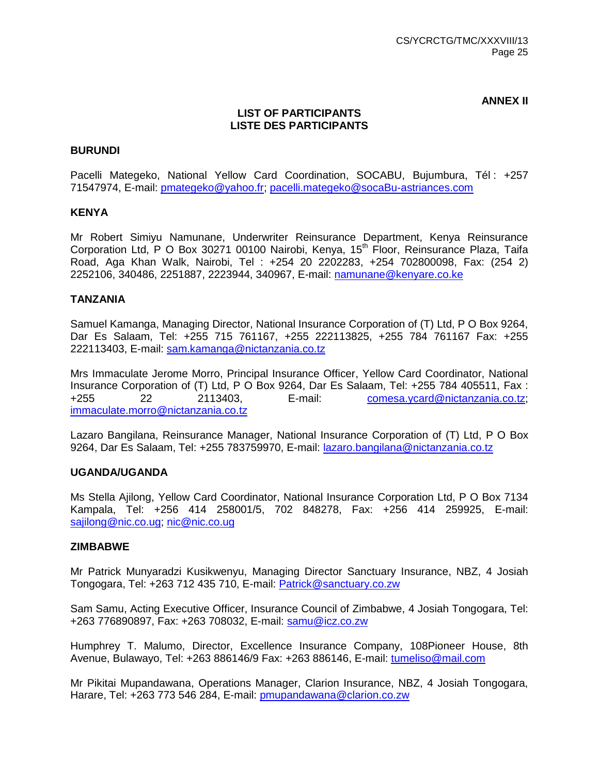**ANNEX II**

#### **LIST OF PARTICIPANTS LISTE DES PARTICIPANTS**

#### **BURUNDI**

Pacelli Mategeko, National Yellow Card Coordination, SOCABU, Bujumbura, Tél : +257 71547974, E-mail: [pmategeko@yahoo.fr;](mailto:pmategeko@yahoo.fr) [pacelli.mategeko@socaBu-astriances.com](mailto:pacelli.mategeko@socaBu-astriances.com)

#### **KENYA**

Mr Robert Simiyu Namunane, Underwriter Reinsurance Department, Kenya Reinsurance Corporation Ltd, P O Box 30271 00100 Nairobi, Kenya, 15<sup>th</sup> Floor, Reinsurance Plaza, Taifa Road, Aga Khan Walk, Nairobi, Tel : +254 20 2202283, +254 702800098, Fax: (254 2) 2252106, 340486, 2251887, 2223944, 340967, E-mail: namunan[e@kenyare.co.ke](mailto:m@kenyare.co.ke)

#### **TANZANIA**

Samuel Kamanga, Managing Director, National Insurance Corporation of (T) Ltd, P O Box 9264, Dar Es Salaam, Tel: +255 715 761167, +255 222113825, +255 784 761167 Fax: +255 222113403, E-mail: [sam.kamanga@nictanzania.co.tz](mailto:sam.kamanga@nictanzania.co.tz)

Mrs Immaculate Jerome Morro, Principal Insurance Officer, Yellow Card Coordinator, National Insurance Corporation of (T) Ltd, P O Box 9264, Dar Es Salaam, Tel: +255 784 405511, Fax : +255 22 2113403, E-mail: [comesa.ycard@nictanzania.co.tz;](mailto:comesa.ycard@nictanzania.co.tz) [immaculate.morro@nictanzania.co.tz](mailto:immaculate.morro@nictanzania.co.tz)

Lazaro Bangilana, Reinsurance Manager, National Insurance Corporation of (T) Ltd, P O Box 9264, Dar Es Salaam, Tel: +255 783759970, E-mail: [lazaro.bangilana@nictanzania.co.tz](mailto:lazaro.bangilana@nictanzania.co.tz)

#### **UGANDA/UGANDA**

Ms Stella Ajilong, Yellow Card Coordinator, National Insurance Corporation Ltd, P O Box 7134 Kampala, Tel: +256 414 258001/5, 702 848278, Fax: +256 414 259925, E-mail: [sajilong@nic.co.ug;](mailto:sajilong@nic.co.ug) [nic@nic.co.ug](mailto:nic@nic.co.ug)

#### **ZIMBABWE**

Mr Patrick Munyaradzi Kusikwenyu, Managing Director Sanctuary Insurance, NBZ, 4 Josiah Tongogara, Tel: +263 712 435 710, E-mail: [Patrick@sanctuary.co.zw](mailto:Patrick@sanctuary.co.zw)

Sam Samu, Acting Executive Officer, Insurance Council of Zimbabwe, 4 Josiah Tongogara, Tel: +263 776890897, Fax: +263 708032, E-mail: [samu@icz.co.zw](mailto:samu@icz.co.zw)

Humphrey T. Malumo, Director, Excellence Insurance Company, 108Pioneer House, 8th Avenue, Bulawayo, Tel: +263 886146/9 Fax: +263 886146, E-mail: tumeliso@mail.com

Mr Pikitai Mupandawana, Operations Manager, Clarion Insurance, NBZ, 4 Josiah Tongogara, Harare, Tel: +263 773 546 284, E-mail: [pmupandawana@clarion.co.zw](mailto:pmupandawana@clarion.co.zw)